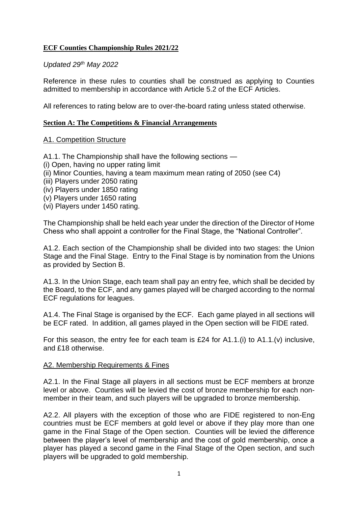## **ECF Counties Championship Rules 2021/22**

#### *Updated 29th May 2022*

Reference in these rules to counties shall be construed as applying to Counties admitted to membership in accordance with Article 5.2 of the ECF Articles.

All references to rating below are to over-the-board rating unless stated otherwise.

#### **Section A: The Competitions & Financial Arrangements**

#### A1. Competition Structure

A1.1. The Championship shall have the following sections —

- (i) Open, having no upper rating limit
- (ii) Minor Counties, having a team maximum mean rating of 2050 (see C4)
- (iii) Players under 2050 rating
- (iv) Players under 1850 rating
- (v) Players under 1650 rating
- (vi) Players under 1450 rating.

The Championship shall be held each year under the direction of the Director of Home Chess who shall appoint a controller for the Final Stage, the "National Controller".

A1.2. Each section of the Championship shall be divided into two stages: the Union Stage and the Final Stage. Entry to the Final Stage is by nomination from the Unions as provided by Section B.

A1.3. In the Union Stage, each team shall pay an entry fee, which shall be decided by the Board, to the ECF, and any games played will be charged according to the normal ECF regulations for leagues.

A1.4. The Final Stage is organised by the ECF. Each game played in all sections will be ECF rated. In addition, all games played in the Open section will be FIDE rated.

For this season, the entry fee for each team is £24 for A1.1.(i) to A1.1.(v) inclusive, and £18 otherwise.

#### A2. Membership Requirements & Fines

A2.1. In the Final Stage all players in all sections must be ECF members at bronze level or above. Counties will be levied the cost of bronze membership for each nonmember in their team, and such players will be upgraded to bronze membership.

A2.2. All players with the exception of those who are FIDE registered to non-Eng countries must be ECF members at gold level or above if they play more than one game in the Final Stage of the Open section. Counties will be levied the difference between the player's level of membership and the cost of gold membership, once a player has played a second game in the Final Stage of the Open section, and such players will be upgraded to gold membership.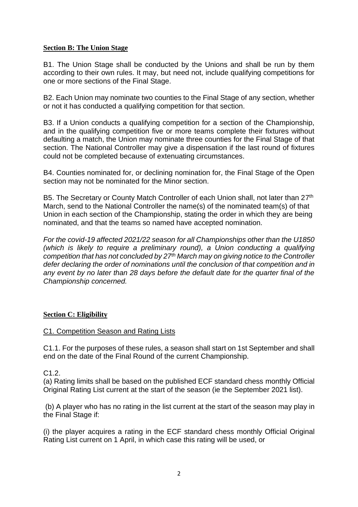## **Section B: The Union Stage**

B1. The Union Stage shall be conducted by the Unions and shall be run by them according to their own rules. It may, but need not, include qualifying competitions for one or more sections of the Final Stage.

B2. Each Union may nominate two counties to the Final Stage of any section, whether or not it has conducted a qualifying competition for that section.

B3. If a Union conducts a qualifying competition for a section of the Championship, and in the qualifying competition five or more teams complete their fixtures without defaulting a match, the Union may nominate three counties for the Final Stage of that section. The National Controller may give a dispensation if the last round of fixtures could not be completed because of extenuating circumstances.

B4. Counties nominated for, or declining nomination for, the Final Stage of the Open section may not be nominated for the Minor section.

B5. The Secretary or County Match Controller of each Union shall, not later than 27<sup>th</sup> March, send to the National Controller the name(s) of the nominated team(s) of that Union in each section of the Championship, stating the order in which they are being nominated, and that the teams so named have accepted nomination.

*For the covid-19 affected 2021/22 season for all Championships other than the U1850 (which is likely to require a preliminary round), a Union conducting a qualifying competition that has not concluded by 27th March may on giving notice to the Controller defer declaring the order of nominations until the conclusion of that competition and in any event by no later than 28 days before the default date for the quarter final of the Championship concerned.*

# **Section C: Eligibility**

# C1. Competition Season and Rating Lists

C1.1. For the purposes of these rules, a season shall start on 1st September and shall end on the date of the Final Round of the current Championship.

C1.2.

(a) Rating limits shall be based on the published ECF standard chess monthly Official Original Rating List current at the start of the season (ie the September 2021 list).

(b) A player who has no rating in the list current at the start of the season may play in the Final Stage if:

(i) the player acquires a rating in the ECF standard chess monthly Official Original Rating List current on 1 April, in which case this rating will be used, or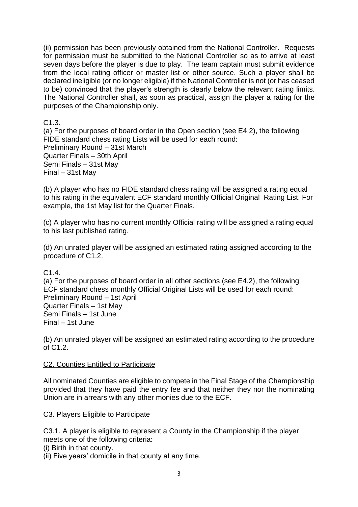(ii) permission has been previously obtained from the National Controller. Requests for permission must be submitted to the National Controller so as to arrive at least seven days before the player is due to play. The team captain must submit evidence from the local rating officer or master list or other source. Such a player shall be declared ineligible (or no longer eligible) if the National Controller is not (or has ceased to be) convinced that the player's strength is clearly below the relevant rating limits. The National Controller shall, as soon as practical, assign the player a rating for the purposes of the Championship only.

C1.3.

(a) For the purposes of board order in the Open section (see E4.2), the following FIDE standard chess rating Lists will be used for each round: Preliminary Round – 31st March Quarter Finals – 30th April Semi Finals – 31st May Final – 31st May

(b) A player who has no FIDE standard chess rating will be assigned a rating equal to his rating in the equivalent ECF standard monthly Official Original Rating List. For example, the 1st May list for the Quarter Finals.

(c) A player who has no current monthly Official rating will be assigned a rating equal to his last published rating.

(d) An unrated player will be assigned an estimated rating assigned according to the procedure of C1.2.

 $C<sub>1</sub>4$ 

(a) For the purposes of board order in all other sections (see E4.2), the following ECF standard chess monthly Official Original Lists will be used for each round: Preliminary Round – 1st April Quarter Finals – 1st May Semi Finals – 1st June Final – 1st June

(b) An unrated player will be assigned an estimated rating according to the procedure of C1.2.

# C2. Counties Entitled to Participate

All nominated Counties are eligible to compete in the Final Stage of the Championship provided that they have paid the entry fee and that neither they nor the nominating Union are in arrears with any other monies due to the ECF.

# C3. Players Eligible to Participate

C3.1. A player is eligible to represent a County in the Championship if the player meets one of the following criteria:

(i) Birth in that county.

(ii) Five years' domicile in that county at any time.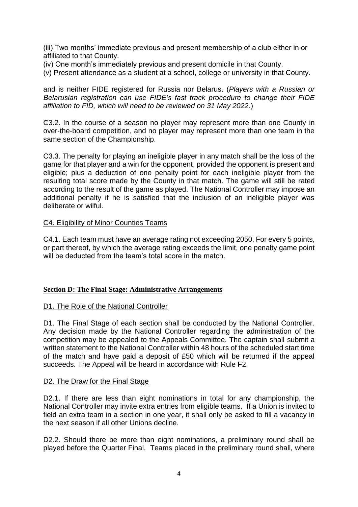(iii) Two months' immediate previous and present membership of a club either in or affiliated to that County.

(iv) One month's immediately previous and present domicile in that County.

(v) Present attendance as a student at a school, college or university in that County.

and is neither FIDE registered for Russia nor Belarus. (*Players with a Russian or Belarusian registration can use FIDE's fast track procedure to change their FIDE affiliation to FID, which will need to be reviewed on 31 May 2022.*)

C3.2. In the course of a season no player may represent more than one County in over-the-board competition, and no player may represent more than one team in the same section of the Championship.

C3.3. The penalty for playing an ineligible player in any match shall be the loss of the game for that player and a win for the opponent, provided the opponent is present and eligible; plus a deduction of one penalty point for each ineligible player from the resulting total score made by the County in that match. The game will still be rated according to the result of the game as played. The National Controller may impose an additional penalty if he is satisfied that the inclusion of an ineligible player was deliberate or wilful.

#### C4. Eligibility of Minor Counties Teams

C4.1. Each team must have an average rating not exceeding 2050. For every 5 points, or part thereof, by which the average rating exceeds the limit, one penalty game point will be deducted from the team's total score in the match.

#### **Section D: The Final Stage: Administrative Arrangements**

#### D1. The Role of the National Controller

D1. The Final Stage of each section shall be conducted by the National Controller. Any decision made by the National Controller regarding the administration of the competition may be appealed to the Appeals Committee. The captain shall submit a written statement to the National Controller within 48 hours of the scheduled start time of the match and have paid a deposit of £50 which will be returned if the appeal succeeds. The Appeal will be heard in accordance with Rule F2.

#### D2. The Draw for the Final Stage

D2.1. If there are less than eight nominations in total for any championship, the National Controller may invite extra entries from eligible teams. If a Union is invited to field an extra team in a section in one year, it shall only be asked to fill a vacancy in the next season if all other Unions decline.

D2.2. Should there be more than eight nominations, a preliminary round shall be played before the Quarter Final. Teams placed in the preliminary round shall, where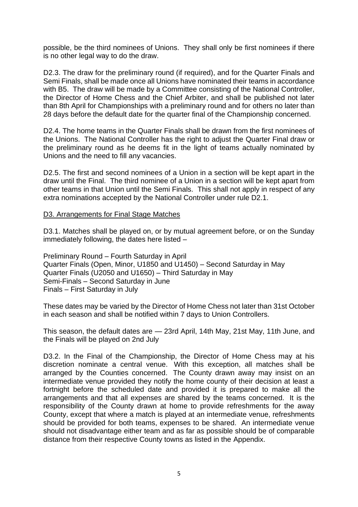possible, be the third nominees of Unions. They shall only be first nominees if there is no other legal way to do the draw.

D2.3. The draw for the preliminary round (if required), and for the Quarter Finals and Semi Finals, shall be made once all Unions have nominated their teams in accordance with B5. The draw will be made by a Committee consisting of the National Controller, the Director of Home Chess and the Chief Arbiter, and shall be published not later than 8th April for Championships with a preliminary round and for others no later than 28 days before the default date for the quarter final of the Championship concerned.

D2.4. The home teams in the Quarter Finals shall be drawn from the first nominees of the Unions. The National Controller has the right to adjust the Quarter Final draw or the preliminary round as he deems fit in the light of teams actually nominated by Unions and the need to fill any vacancies.

D2.5. The first and second nominees of a Union in a section will be kept apart in the draw until the Final. The third nominee of a Union in a section will be kept apart from other teams in that Union until the Semi Finals. This shall not apply in respect of any extra nominations accepted by the National Controller under rule D2.1.

## D3. Arrangements for Final Stage Matches

D3.1. Matches shall be played on, or by mutual agreement before, or on the Sunday immediately following, the dates here listed –

Preliminary Round – Fourth Saturday in April Quarter Finals (Open, Minor, U1850 and U1450) – Second Saturday in May Quarter Finals (U2050 and U1650) – Third Saturday in May Semi-Finals – Second Saturday in June Finals – First Saturday in July

These dates may be varied by the Director of Home Chess not later than 31st October in each season and shall be notified within 7 days to Union Controllers.

This season, the default dates are — 23rd April, 14th May, 21st May, 11th June, and the Finals will be played on 2nd July

D3.2. In the Final of the Championship, the Director of Home Chess may at his discretion nominate a central venue. With this exception, all matches shall be arranged by the Counties concerned. The County drawn away may insist on an intermediate venue provided they notify the home county of their decision at least a fortnight before the scheduled date and provided it is prepared to make all the arrangements and that all expenses are shared by the teams concerned. It is the responsibility of the County drawn at home to provide refreshments for the away County, except that where a match is played at an intermediate venue, refreshments should be provided for both teams, expenses to be shared. An intermediate venue should not disadvantage either team and as far as possible should be of comparable distance from their respective County towns as listed in the Appendix.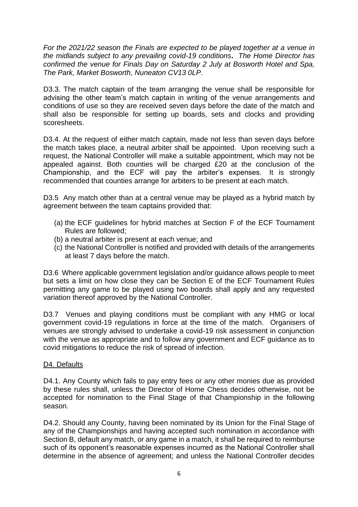*For the 2021/22 season the Finals are expected to be played together at a venue in the midlands subject to any prevailing covid-19 conditions***.** *The Home Director has confirmed the venue for Finals Day on Saturday 2 July at Bosworth Hotel and Spa, The Park, Market Bosworth, Nuneaton CV13 0LP.*

D3.3. The match captain of the team arranging the venue shall be responsible for advising the other team's match captain in writing of the venue arrangements and conditions of use so they are received seven days before the date of the match and shall also be responsible for setting up boards, sets and clocks and providing scoresheets.

D3.4. At the request of either match captain, made not less than seven days before the match takes place, a neutral arbiter shall be appointed. Upon receiving such a request, the National Controller will make a suitable appointment, which may not be appealed against. Both counties will be charged £20 at the conclusion of the Championship, and the ECF will pay the arbiter's expenses. It is strongly recommended that counties arrange for arbiters to be present at each match.

D3.5 Any match other than at a central venue may be played as a hybrid match by agreement between the team captains provided that:

- (a) the ECF guidelines for hybrid matches at Section F of the ECF Tournament Rules are followed;
- (b) a neutral arbiter is present at each venue; and
- (c) the National Controller is notified and provided with details of the arrangements at least 7 days before the match.

D3.6 Where applicable government legislation and/or guidance allows people to meet but sets a limit on how close they can be Section E of the ECF Tournament Rules permitting any game to be played using two boards shall apply and any requested variation thereof approved by the National Controller.

D3.7 Venues and playing conditions must be compliant with any HMG or local government covid-19 regulations in force at the time of the match. Organisers of venues are strongly advised to undertake a covid-19 risk assessment in conjunction with the venue as appropriate and to follow any government and ECF guidance as to covid mitigations to reduce the risk of spread of infection.

## D4. Defaults

D4.1. Any County which fails to pay entry fees or any other monies due as provided by these rules shall, unless the Director of Home Chess decides otherwise, not be accepted for nomination to the Final Stage of that Championship in the following season.

D4.2. Should any County, having been nominated by its Union for the Final Stage of any of the Championships and having accepted such nomination in accordance with Section B, default any match, or any game in a match, it shall be required to reimburse such of its opponent's reasonable expenses incurred as the National Controller shall determine in the absence of agreement; and unless the National Controller decides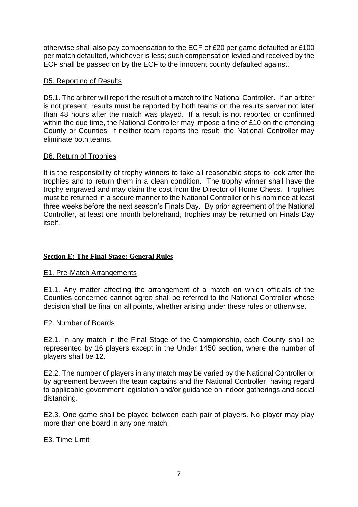otherwise shall also pay compensation to the ECF of £20 per game defaulted or £100 per match defaulted, whichever is less; such compensation levied and received by the ECF shall be passed on by the ECF to the innocent county defaulted against.

## D5. Reporting of Results

D5.1. The arbiter will report the result of a match to the National Controller. If an arbiter is not present, results must be reported by both teams on the results server not later than 48 hours after the match was played. If a result is not reported or confirmed within the due time, the National Controller may impose a fine of £10 on the offending County or Counties. If neither team reports the result, the National Controller may eliminate both teams.

## D6. Return of Trophies

It is the responsibility of trophy winners to take all reasonable steps to look after the trophies and to return them in a clean condition. The trophy winner shall have the trophy engraved and may claim the cost from the Director of Home Chess. Trophies must be returned in a secure manner to the National Controller or his nominee at least three weeks before the next season's Finals Day. By prior agreement of the National Controller, at least one month beforehand, trophies may be returned on Finals Day itself.

# **Section E: The Final Stage: General Rules**

## E1. Pre-Match Arrangements

E1.1. Any matter affecting the arrangement of a match on which officials of the Counties concerned cannot agree shall be referred to the National Controller whose decision shall be final on all points, whether arising under these rules or otherwise.

## E2. Number of Boards

E2.1. In any match in the Final Stage of the Championship, each County shall be represented by 16 players except in the Under 1450 section, where the number of players shall be 12.

E2.2. The number of players in any match may be varied by the National Controller or by agreement between the team captains and the National Controller, having regard to applicable government legislation and/or guidance on indoor gatherings and social distancing.

E2.3. One game shall be played between each pair of players. No player may play more than one board in any one match.

## E3. Time Limit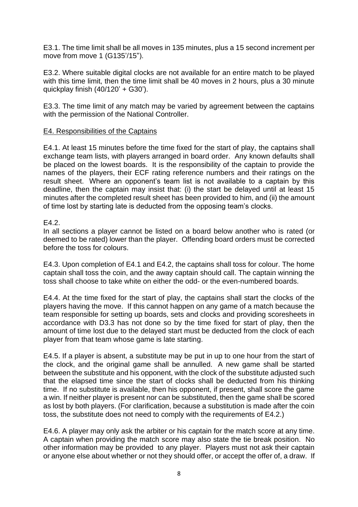E3.1. The time limit shall be all moves in 135 minutes, plus a 15 second increment per move from move 1 (G135'/15").

E3.2. Where suitable digital clocks are not available for an entire match to be played with this time limit, then the time limit shall be 40 moves in 2 hours, plus a 30 minute quickplay finish (40/120' + G30').

E3.3. The time limit of any match may be varied by agreement between the captains with the permission of the National Controller.

## E4. Responsibilities of the Captains

E4.1. At least 15 minutes before the time fixed for the start of play, the captains shall exchange team lists, with players arranged in board order. Any known defaults shall be placed on the lowest boards. It is the responsibility of the captain to provide the names of the players, their ECF rating reference numbers and their ratings on the result sheet. Where an opponent's team list is not available to a captain by this deadline, then the captain may insist that: (i) the start be delayed until at least 15 minutes after the completed result sheet has been provided to him, and (ii) the amount of time lost by starting late is deducted from the opposing team's clocks.

## E4.2.

In all sections a player cannot be listed on a board below another who is rated (or deemed to be rated) lower than the player. Offending board orders must be corrected before the toss for colours.

E4.3. Upon completion of E4.1 and E4.2, the captains shall toss for colour. The home captain shall toss the coin, and the away captain should call. The captain winning the toss shall choose to take white on either the odd- or the even-numbered boards.

E4.4. At the time fixed for the start of play, the captains shall start the clocks of the players having the move. If this cannot happen on any game of a match because the team responsible for setting up boards, sets and clocks and providing scoresheets in accordance with D3.3 has not done so by the time fixed for start of play, then the amount of time lost due to the delayed start must be deducted from the clock of each player from that team whose game is late starting.

E4.5. If a player is absent, a substitute may be put in up to one hour from the start of the clock, and the original game shall be annulled. A new game shall be started between the substitute and his opponent, with the clock of the substitute adjusted such that the elapsed time since the start of clocks shall be deducted from his thinking time. If no substitute is available, then his opponent, if present, shall score the game a win. If neither player is present nor can be substituted, then the game shall be scored as lost by both players. (For clarification, because a substitution is made after the coin toss, the substitute does not need to comply with the requirements of E4.2.)

E4.6. A player may only ask the arbiter or his captain for the match score at any time. A captain when providing the match score may also state the tie break position. No other information may be provided to any player. Players must not ask their captain or anyone else about whether or not they should offer, or accept the offer of, a draw. If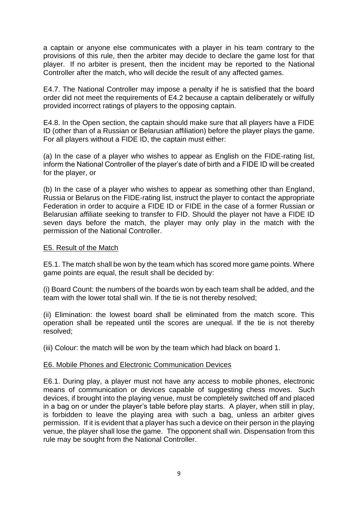a captain or anyone else communicates with a player in his team contrary to the provisions of this rule, then the arbiter may decide to declare the game lost for that player. If no arbiter is present, then the incident may be reported to the National Controller after the match, who will decide the result of any affected games.

E4.7. The National Controller may impose a penalty if he is satisfied that the board order did not meet the requirements of E4.2 because a captain deliberately or wilfully provided incorrect ratings of players to the opposing captain.

E4.8. In the Open section, the captain should make sure that all players have a FIDE ID (other than of a Russian or Belarusian affiliation) before the player plays the game. For all players without a FIDE ID, the captain must either:

(a) In the case of a player who wishes to appear as English on the FIDE-rating list, inform the National Controller of the player's date of birth and a FIDE ID will be created for the player, or

(b) In the case of a player who wishes to appear as something other than England, Russia or Belarus on the FIDE-rating list, instruct the player to contact the appropriate Federation in order to acquire a FIDE ID or FIDE in the case of a former Russian or Belarusian affiliate seeking to transfer to FID. Should the player not have a FIDE ID seven days before the match, the player may only play in the match with the permission of the National Controller.

#### E5. Result of the Match

E5.1. The match shall be won by the team which has scored more game points. Where game points are equal, the result shall be decided by:

(i) Board Count: the numbers of the boards won by each team shall be added, and the team with the lower total shall win. If the tie is not thereby resolved;

(ii) Elimination: the lowest board shall be eliminated from the match score. This operation shall be repeated until the scores are unequal. If the tie is not thereby resolved;

(iii) Colour: the match will be won by the team which had black on board 1.

#### E6. Mobile Phones and Electronic Communication Devices

E6.1. During play, a player must not have any access to mobile phones, electronic means of communication or devices capable of suggesting chess moves. Such devices, if brought into the playing venue, must be completely switched off and placed in a bag on or under the player's table before play starts. A player, when still in play, is forbidden to leave the playing area with such a bag, unless an arbiter gives permission. If it is evident that a player has such a device on their person in the playing venue, the player shall lose the game. The opponent shall win. Dispensation from this rule may be sought from the National Controller.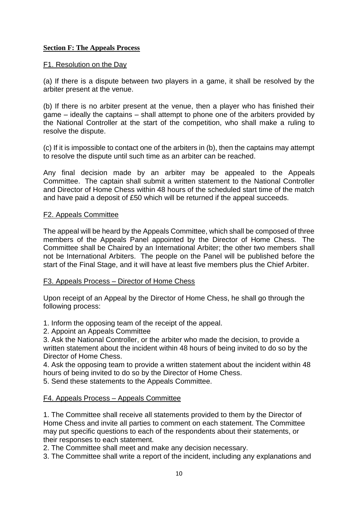## **Section F: The Appeals Process**

#### F1. Resolution on the Day

(a) If there is a dispute between two players in a game, it shall be resolved by the arbiter present at the venue.

(b) If there is no arbiter present at the venue, then a player who has finished their game – ideally the captains – shall attempt to phone one of the arbiters provided by the National Controller at the start of the competition, who shall make a ruling to resolve the dispute.

(c) If it is impossible to contact one of the arbiters in (b), then the captains may attempt to resolve the dispute until such time as an arbiter can be reached.

Any final decision made by an arbiter may be appealed to the Appeals Committee. The captain shall submit a written statement to the National Controller and Director of Home Chess within 48 hours of the scheduled start time of the match and have paid a deposit of £50 which will be returned if the appeal succeeds.

#### F2. Appeals Committee

The appeal will be heard by the Appeals Committee, which shall be composed of three members of the Appeals Panel appointed by the Director of Home Chess. The Committee shall be Chaired by an International Arbiter; the other two members shall not be International Arbiters. The people on the Panel will be published before the start of the Final Stage, and it will have at least five members plus the Chief Arbiter.

## F3. Appeals Process – Director of Home Chess

Upon receipt of an Appeal by the Director of Home Chess, he shall go through the following process:

1. Inform the opposing team of the receipt of the appeal.

2. Appoint an Appeals Committee

3. Ask the National Controller, or the arbiter who made the decision, to provide a written statement about the incident within 48 hours of being invited to do so by the Director of Home Chess.

4. Ask the opposing team to provide a written statement about the incident within 48 hours of being invited to do so by the Director of Home Chess.

5. Send these statements to the Appeals Committee.

## F4. Appeals Process – Appeals Committee

1. The Committee shall receive all statements provided to them by the Director of Home Chess and invite all parties to comment on each statement. The Committee may put specific questions to each of the respondents about their statements, or their responses to each statement.

2. The Committee shall meet and make any decision necessary.

3. The Committee shall write a report of the incident, including any explanations and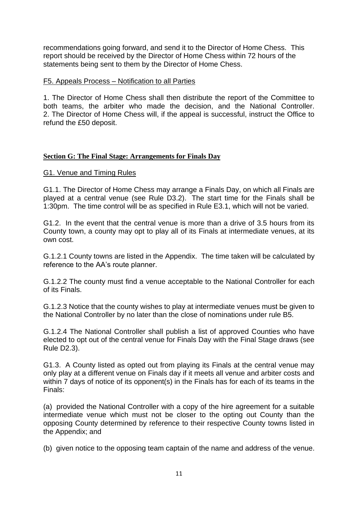recommendations going forward, and send it to the Director of Home Chess. This report should be received by the Director of Home Chess within 72 hours of the statements being sent to them by the Director of Home Chess.

#### F5. Appeals Process – Notification to all Parties

1. The Director of Home Chess shall then distribute the report of the Committee to both teams, the arbiter who made the decision, and the National Controller. 2. The Director of Home Chess will, if the appeal is successful, instruct the Office to refund the £50 deposit.

## **Section G: The Final Stage: Arrangements for Finals Day**

#### G1. Venue and Timing Rules

G1.1. The Director of Home Chess may arrange a Finals Day, on which all Finals are played at a central venue (see Rule D3.2). The start time for the Finals shall be 1:30pm. The time control will be as specified in Rule E3.1, which will not be varied.

G1.2. In the event that the central venue is more than a drive of 3.5 hours from its County town, a county may opt to play all of its Finals at intermediate venues, at its own cost.

G.1.2.1 County towns are listed in the Appendix. The time taken will be calculated by reference to the AA's route planner.

G.1.2.2 The county must find a venue acceptable to the National Controller for each of its Finals.

G.1.2.3 Notice that the county wishes to play at intermediate venues must be given to the National Controller by no later than the close of nominations under rule B5.

G.1.2.4 The National Controller shall publish a list of approved Counties who have elected to opt out of the central venue for Finals Day with the Final Stage draws (see Rule D2.3).

G1.3. A County listed as opted out from playing its Finals at the central venue may only play at a different venue on Finals day if it meets all venue and arbiter costs and within 7 days of notice of its opponent(s) in the Finals has for each of its teams in the Finals:

(a) provided the National Controller with a copy of the hire agreement for a suitable intermediate venue which must not be closer to the opting out County than the opposing County determined by reference to their respective County towns listed in the Appendix; and

(b) given notice to the opposing team captain of the name and address of the venue.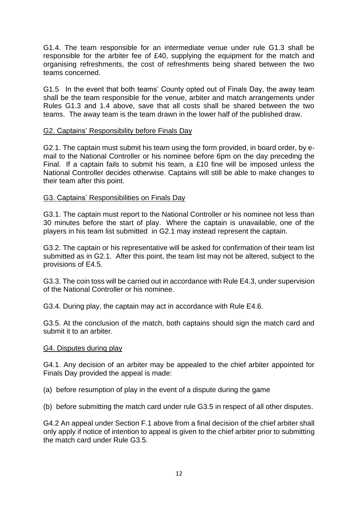G1.4. The team responsible for an intermediate venue under rule G1.3 shall be responsible for the arbiter fee of £40, supplying the equipment for the match and organising refreshments, the cost of refreshments being shared between the two teams concerned.

G1.5 In the event that both teams' County opted out of Finals Day, the away team shall be the team responsible for the venue, arbiter and match arrangements under Rules G1.3 and 1.4 above, save that all costs shall be shared between the two teams. The away team is the team drawn in the lower half of the published draw.

## G2. Captains' Responsibility before Finals Day

G2.1. The captain must submit his team using the form provided, in board order, by email to the National Controller or his nominee before 6pm on the day preceding the Final. If a captain fails to submit his team, a £10 fine will be imposed unless the National Controller decides otherwise. Captains will still be able to make changes to their team after this point.

## G3. Captains' Responsibilities on Finals Day

G3.1. The captain must report to the National Controller or his nominee not less than 30 minutes before the start of play. Where the captain is unavailable, one of the players in his team list submitted in G2.1 may instead represent the captain.

G3.2. The captain or his representative will be asked for confirmation of their team list submitted as in G2.1. After this point, the team list may not be altered, subject to the provisions of E4.5.

G3.3. The coin toss will be carried out in accordance with Rule E4.3, under supervision of the National Controller or his nominee.

G3.4. During play, the captain may act in accordance with Rule E4.6.

G3.5. At the conclusion of the match, both captains should sign the match card and submit it to an arbiter.

#### G4. Disputes during play

G4.1. Any decision of an arbiter may be appealed to the chief arbiter appointed for Finals Day provided the appeal is made:

(a) before resumption of play in the event of a dispute during the game

(b) before submitting the match card under rule G3.5 in respect of all other disputes.

G4.2 An appeal under Section F.1 above from a final decision of the chief arbiter shall only apply if notice of intention to appeal is given to the chief arbiter prior to submitting the match card under Rule G3.5.